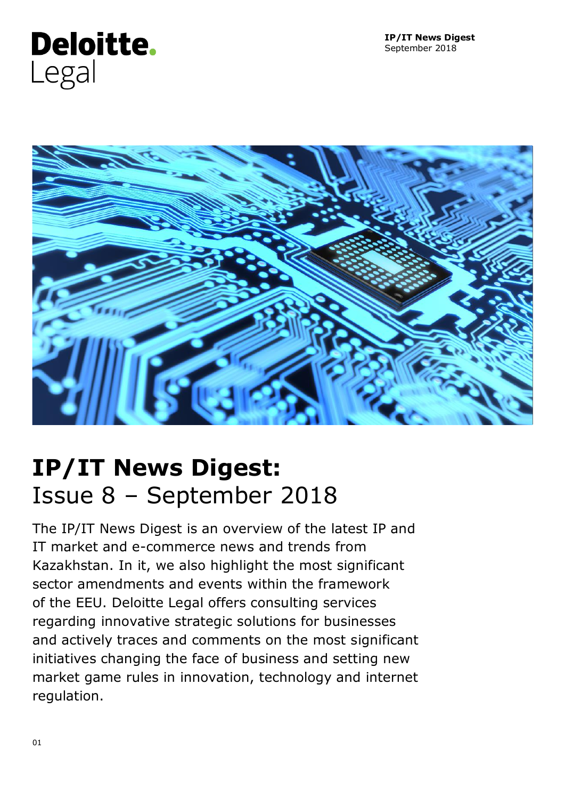

# **IP/IT News Digest:** Issue 8 – September 2018

The IP/IT News Digest is an overview of the latest IP and IT market and e-commerce news and trends from Kazakhstan. In it, we also highlight the most significant sector amendments and events within the framework of the EEU. Deloitte Legal offers consulting services regarding innovative strategic solutions for businesses and actively traces and comments on the most significant initiatives changing the face of business and setting new market game rules in innovation, technology and internet regulation.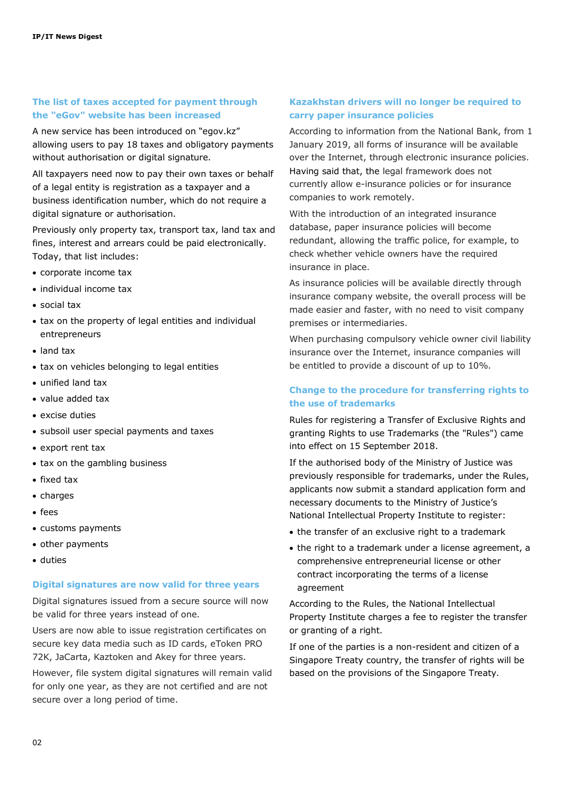#### **The list of taxes accepted for payment through the "eGov" website has been increased**

A new service has been introduced on "egov.kz" allowing users to pay 18 taxes and obligatory payments without authorisation or digital signature.

All taxpayers need now to pay their own taxes or behalf of a legal entity is registration as a taxpayer and a business identification number, which do not require a digital signature or authorisation.

Previously only property tax, transport tax, land tax and fines, interest and arrears could be paid electronically. Today, that list includes:

- corporate income tax
- individual income tax
- social tax
- tax on the property of legal entities and individual entrepreneurs
- land tax
- tax on vehicles belonging to legal entities
- unified land tax
- value added tax
- excise duties
- subsoil user special payments and taxes
- export rent tax
- tax on the gambling business
- fixed tax
- charges
- fees
- customs payments
- other payments
- duties

#### **Digital signatures are now valid for three years**

Digital signatures issued from a secure source will now be valid for three years instead of one.

Users are now able to issue registration certificates on secure key data media such as ID cards, eToken PRO 72K, JaCarta, Kaztoken and Akey for three years.

However, file system digital signatures will remain valid for only one year, as they are not certified and are not secure over a long period of time.

### **Kazakhstan drivers will no longer be required to carry paper insurance policies**

According to information from the National Bank, from 1 January 2019, all forms of insurance will be available over the Internet, through electronic insurance policies. Having said that, the legal framework does not currently allow e-insurance policies or for insurance companies to work remotely.

With the introduction of an integrated insurance database, paper insurance policies will become redundant, allowing the traffic police, for example, to check whether vehicle owners have the required insurance in place.

As insurance policies will be available directly through insurance company website, the overall process will be made easier and faster, with no need to visit company premises or intermediaries.

When purchasing compulsory vehicle owner civil liability insurance over the Internet, insurance companies will be entitled to provide a discount of up to 10%.

#### **Change to the procedure for transferring rights to the use of trademarks**

Rules for registering a Transfer of Exclusive Rights and granting Rights to use Trademarks (the "Rules") came into effect on 15 September 2018.

If the authorised body of the Ministry of Justice was previously responsible for trademarks, under the Rules, applicants now submit a standard application form and necessary documents to the Ministry of Justice's National Intellectual Property Institute to register:

- the transfer of an exclusive right to a trademark
- the right to a trademark under a license agreement, a comprehensive entrepreneurial license or other contract incorporating the terms of a license agreement

According to the Rules, the National Intellectual Property Institute charges a fee to register the transfer or granting of a right.

If one of the parties is a non-resident and citizen of a Singapore Treaty country, the transfer of rights will be based on the provisions of the Singapore Treaty.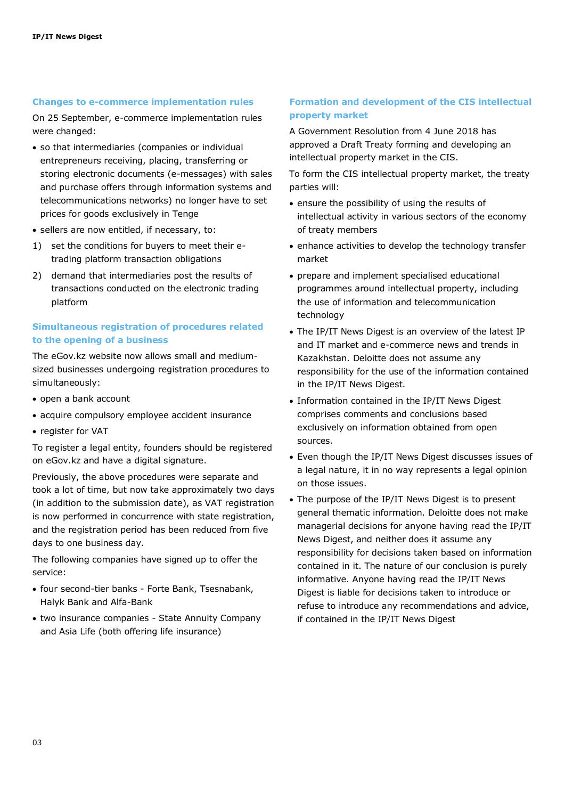#### **Changes to e-commerce implementation rules**

On 25 September, e-commerce implementation rules were changed:

- so that intermediaries (companies or individual entrepreneurs receiving, placing, transferring or storing electronic documents (e-messages) with sales and purchase offers through information systems and telecommunications networks) no longer have to set prices for goods exclusively in Tenge
- sellers are now entitled, if necessary, to:
- 1) set the conditions for buyers to meet their etrading platform transaction obligations
- 2) demand that intermediaries post the results of transactions conducted on the electronic trading platform

#### **Simultaneous registration of procedures related to the opening of a business**

The eGov.kz website now allows small and mediumsized businesses undergoing registration procedures to simultaneously:

- open a bank account
- acquire compulsory employee accident insurance
- register for VAT

To register a legal entity, founders should be registered on eGov.kz and have a digital signature.

Previously, the above procedures were separate and took a lot of time, but now take approximately two days (in addition to the submission date), as VAT registration is now performed in concurrence with state registration, and the registration period has been reduced from five days to one business day.

The following companies have signed up to offer the service:

- four second-tier banks Forte Bank, Tsesnabank, Halyk Bank and Alfa-Bank
- two insurance companies State Annuity Company and Asia Life (both offering life insurance)

### **Formation and development of the CIS intellectual property market**

A Government Resolution from 4 June 2018 has approved a Draft Treaty forming and developing an intellectual property market in the CIS.

To form the CIS intellectual property market, the treaty parties will:

- ensure the possibility of using the results of intellectual activity in various sectors of the economy of treaty members
- enhance activities to develop the technology transfer market
- prepare and implement specialised educational programmes around intellectual property, including the use of information and telecommunication technology
- The IP/IT News Digest is an overview of the latest IP and IT market and e-commerce news and trends in Kazakhstan. Deloitte does not assume any responsibility for the use of the information contained in the IP/IT News Digest.
- Information contained in the IP/IT News Digest comprises comments and conclusions based exclusively on information obtained from open sources.
- Even though the IP/IT News Digest discusses issues of a legal nature, it in no way represents a legal opinion on those issues.
- The purpose of the IP/IT News Digest is to present general thematic information. Deloitte does not make managerial decisions for anyone having read the IP/IT News Digest, and neither does it assume any responsibility for decisions taken based on information contained in it. The nature of our conclusion is purely informative. Anyone having read the IP/IT News Digest is liable for decisions taken to introduce or refuse to introduce any recommendations and advice, if contained in the IP/IT News Digest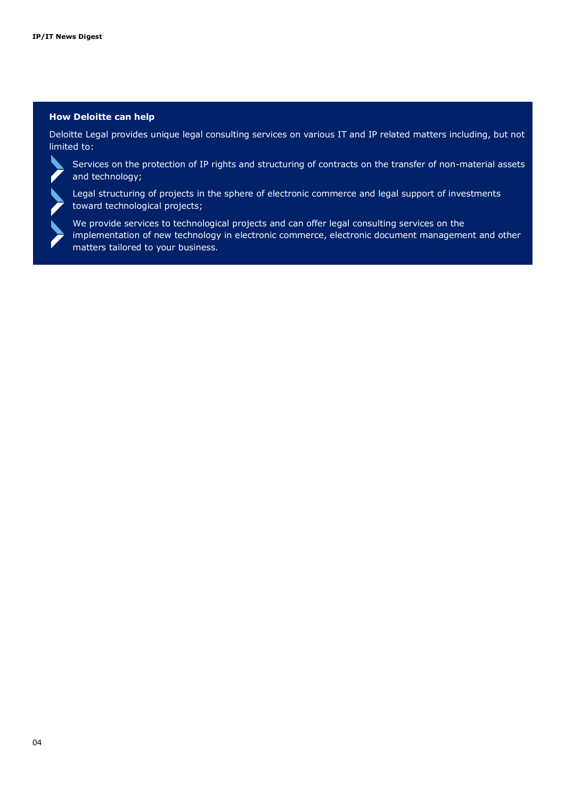#### **How Deloitte can help**

Deloitte Legal provides unique legal consulting services on various IT and IP related matters including, but not limited to:



Services on the protection of IP rights and structuring of contracts on the transfer of non-material assets and technology;

Legal structuring of projects in the sphere of electronic commerce and legal support of investments toward technological projects;



We provide services to technological projects and can offer legal consulting services on the implementation of new technology in electronic commerce, electronic document management and other matters tailored to your business.